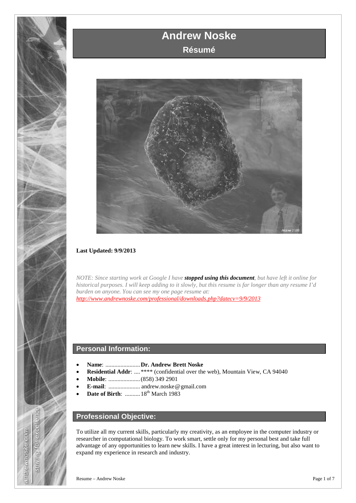



### **Last Updated: 9/9/2013**

*NOTE: Since starting work at Google I have stopped using this document, but have left it online for historical purposes. I will keep adding to it slowly, but this resume is far longer than any resume I'd burden on anyone. You can see my one page resume at: <http://www.andrewnoske.com/professional/downloads.php?datecv=9/9/2013>*

### **Personal Information:**

- **Name**: .......................**Dr. Andrew Brett Noske**
- **Residential Addr:** ....\*\*\*\* (confidential over the web), Mountain View, CA 94040
- **Mobile**: .....................(858) 349 2901
- **E-mail**: ..................... **<sup>A</sup>** andrew.noske**<**@**<sup>&</sup>gt;** gmail.com
- **Date of Birth:** .......... 18<sup>th</sup> March 1983

# **Professional Objective:**

To utilize all my current skills, particularly my creativity, as an employee in the computer industry or researcher in computational biology. To work smart, settle only for my personal best and take full advantage of any opportunities to learn new skills. I have a great interest in lecturing, but also want to expand my experience in research and industry.

for excell

Striving

andrewnoske.com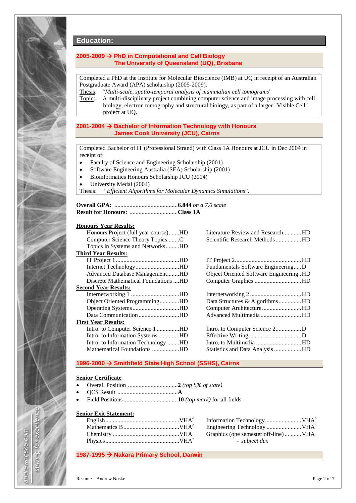

# **Education:**

### **2005-2009 PhD in Computational and Cell Biology The University of Queensland (UQ), Brisbane**

Completed a PhD at the Institute for Molecular Bioscience (IMB) at UQ in receipt of an Australian Postgraduate Award (APA) scholarship (2005-2009).

Thesis: "*Multi-scale, spatio-temporal analysis of mammalian cell tomograms*"

Topic: A multi-disciplinary project combining computer science and image processing with cell biology, electron tomography and structural biology, as part of a larger "Visible Cell" project at UQ.

#### **2001-2004 Bachelor of Information Technology with Honours James Cook University (JCU), Cairns**

Completed Bachelor of IT (Professional Strand) with Class 1A Honours at JCU in Dec 2004 in receipt of:

- Faculty of Science and Engineering Scholarship (2001)
- Software Engineering Australia (SEA) Scholarship (2001)
- Bioinformatics Honours Scholarship JCU (2004)
- University Medal (2004)

Thesis: "*Efficient Algorithms for Molecular Dynamics Simulations*".

#### **Honours Year Results:**

| Honours Project (full year course)HD |
|--------------------------------------|
| Computer Science Theory TopicsC      |
| Topics in Systems and NetworksHD     |
| Third Year Results:                  |
|                                      |
| Internet TechnologyHD                |
| Advanced Database ManagementHD       |
| Discrete Mathematical Foundations HD |
| <b>Second Year Results:</b>          |
| Internetworking 1 HD                 |
| Object Oriented ProgrammingHD        |
| Operating SystemsHD                  |
| Data CommunicationHD                 |
| First Year Results:                  |
| Intro. to Computer Science 1HD       |
| Intro. to Information SystemsHD      |
| Intro. to Information Technology HD  |
| Mathematical Foundations HD          |

Literature Review and Research............HD Scientific Research Methods.................HD

IT Project 2............................................HD Fundamentals Software Engineering.....D Object Oriented Software Engineering .HD Computer Graphics ...............................HD

| Data Structures & AlgorithmsHD |  |
|--------------------------------|--|
| Computer ArchitectureHD        |  |
| Advanced MultimediaHD          |  |
|                                |  |

Intro. to Computer Science 2.................D Effective Writing...................................D Intro. to Multimedia ..............................HD Statistics and Data Analysis..................HD

### **1996-2000 Smithfield State High School (SSHS), Cairns**

#### **Senior Certificate**

- Overall Position .................................**2** *(top 8% of state)*
- QCS Result ........................................**A**
- Field Positions....................................**10** *(top mark)* for all fields

#### **Senior Exit Statement:**

| Graphics (one semester off-line) VHA |  |
|--------------------------------------|--|
| $= subject \, dux$                   |  |

#### **1987-1995 Nakara Primary School, Darwin**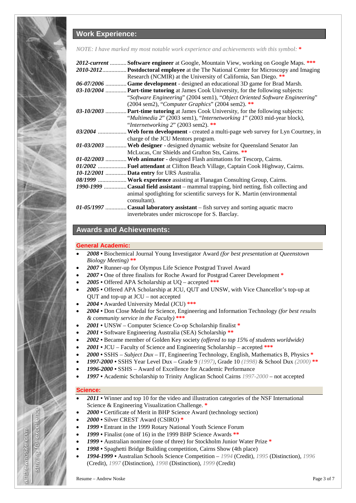# **Work Experience:**

*NOTE: I have marked my most notable work experience and achievements with this symbol:* **\***

| 2012-current  Software engineer at Google, Mountain View, working on Google Maps. ***  |
|----------------------------------------------------------------------------------------|
| 2010-2012 Postdoctoral employee at the The National Center for Microscopy and Imaging  |
| Research (NCMIR) at the University of California, San Diego. **                        |
| 06-07/2006  Game development - designed an educational 3D game for Brad Marsh.         |
| 03-10/2004  Part-time tutoring at James Cook University, for the following subjects:   |
| "Software Engineering" (2004 sem1), "Object Oriented Software Engineering"             |
| (2004 sem2), "Computer Graphics" (2004 sem2). **                                       |
| 03-10/2003  Part-time tutoring at James Cook University, for the following subjects:   |
| "Multimedia 2" (2003 sem1), "Internetworking 1" (2003 mid-year block),                 |
| "Internetworking $2$ " (2003 sem2). **                                                 |
| 03/2004  Web form development - created a multi-page web survey for Lyn Courtney, in   |
| charge of the JCU Mentors program.                                                     |
| 01-03/2003  Web designer - designed dynamic website for Queensland Senator Jan         |
| McLucas, Cnr Shields and Grafton Sts, Cairns. **                                       |
| 01-02/2003  Web animator - designed Flash animations for Tescorp, Cairns.              |
| 01/2002  Fuel attendant at Clifton Beach Village, Captain Cook Highway, Cairns.        |
| 10-12/2001  Data entry for URS Australia.                                              |
| 08/1999  Work experience assisting at Flanagan Consulting Group, Cairns.               |
| 1990-1999  Casual field assistant – mammal trapping, bird netting, fish collecting and |
| animal spotlighting for scientific surveys for K. Martin (environmental                |
| consultant).                                                                           |
| $01-05/1997$ Casual laboratory assistant – fish survey and sorting aquatic macro       |
| invertebrates under microscope for S. Barclay.                                         |

### **Awards and Achievements:**

#### **General Academic:**

- *2008* Biochemical Journal Young Investigator Award *(for best presentation at Queenstown Biology Meeting)* **\*\***
- *2007* Runner-up for Olympus Life Science Postgrad Travel Award
- *2007* One of three finalists for Roche Award for Postgrad Career Development **\***
- *2005* Offered APA Scholarship at UQ accepted **\*\*\***
- *2005* Offered APA Scholarship at JCU, QUT and UNSW, with Vice Chancellor's top-up at QUT and top-up at JCU – not accepted
- *2004* Awarded University Medal (JCU) **\*\*\***
- *2004* Don Close Medal for Science, Engineering and Information Technology *(for best results & community service in the Faculty)* **\*\*\***
- *2001* UNSW Computer Science Co-op Scholarship finalist **\***
- *2001 •* Software Engineering Australia (SEA) Scholarship **\*\***
- *2002* Became member of Golden Key society *(offered to top 15% of students worldwide)*
- *2001* JCU Faculty of Science and Engineering Scholarship accepted **\*\*\***
- *2000* SSHS *Subject Dux* IT, Engineering Technology, English, Mathematics B, Physics **\***
- *1997-2000* SSHS Year Level Dux Grade 9 *(1997)*, Grade 10 *(1998)* & School Dux *(2000)* **\*\***
- *1996-2000* SSHS Award of Excellence for Academic Performance
- *1997* Academic Scholarship to Trinity Anglican School Cairns *1997-2000* not accepted

### **Science:**

excell

**PO** 

Stiriving

andrewnoske.com

- *2011* Winner and top 10 for the video and illustration categories of the NSF International Science & Engineering Visualization Challenge. **\***
- *2000* Certificate of Merit in BHP Science Award (technology section)
- *2000* Silver CREST Award (CSIRO) **\***
- *1999* Entrant in the 1999 Rotary National Youth Science Forum
- *1999* Finalist (one of 16) in the 1999 BHP Science Awards **\*\***
- *1999* Australian nominee (one of three) for Stockholm Junior Water Prize **\***
- *1998* Spaghetti Bridge Building competition, Cairns Show (4th place)
- *1994-1999* Australian Schools Science Competition *1994* (Credit), *1995* (Distinction), *1996* (Credit), *1997* (Distinction), *1998* (Distinction), *1999* (Credit)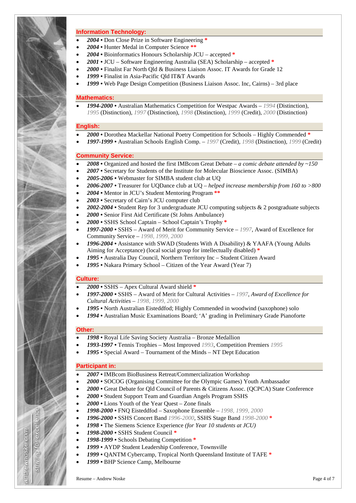#### **Information Technology:**

- *2004* Don Close Prize in Software Engineering **\***
- *2004* Hunter Medal in Computer Science **\*\***
- *2004* Bioinformatics Honours Scholarship JCU accepted **\***
- *2001* JCU Software Engineering Australia (SEA) Scholarship accepted **\***
- *2000* Finalist Far North Qld & Business Liaison Assoc. IT Awards for Grade 12
- *1999* Finalist in Asia-Pacific Qld IT&T Awards
- *1999* Web Page Design Competition (Business Liaison Assoc. Inc, Cairns) 3rd place

#### **Mathematics:**

• *1994-2000 •* Australian Mathematics Competition for Westpac Awards – *1994* (Distinction), *1995* (Distinction), *1997* (Distinction), *1998* (Distinction), *1999* (Credit), *2000* (Distinction)

#### **English:**

- *2000* Dorothea Mackellar National Poetry Competition for Schools Highly Commended **\***
- *1997-1999* Australian Schools English Comp. *1997* (Credit), *1998* (Distinction), *1999* (Credit)

#### **Community Service:**

- *2008* Organized and hosted the first IMBcom Great Debate *a comic debate attended by ~150*
- *2007* Secretary for Students of the Institute for Molecular Bioscience Assoc. (SIMBA)
- *2005-2006* Webmaster for SIMBA student club at UQ
- *2006-2007* Treasurer for UQDance club at UQ *helped increase membership from 160 to >800*
- *2004* Mentor in JCU's Student Mentoring Program **\*\***
- *2003* Secretary of Cairn's JCU computer club
- *2002-2004* Student Rep for 3 undergraduate JCU computing subjects & 2 postgraduate subjects
- *2000* Senior First Aid Certificate (St Johns Ambulance)
- *2000* SSHS School Captain School Captain's Trophy **\***
- *1997-2000* SSHS Award of Merit for Community Service *1997*, Award of Excellence for Community Service – *1998, 1999, 2000*
- *1996-2004* Assistance with SWAD (Students With A Disability) & YAAFA (Young Adults Aiming for Acceptance) (local social group for intellectually disabled) **\***
- *1995 •* Australia Day Council, Northern Territory Inc Student Citizen Award
- *1995 •* Nakara Primary School *–* Citizen of the Year Award (Year 7)

#### **Culture:**

- *2000* SSHS Apex Cultural Award shield **\***
- *1997-2000* SSHS Award of Merit for Cultural Activities *1997*, *Award of Excellence for Cultural Activities* – *1998, 1999, 2000*
- *1995* North Australian Eisteddfod; Highly Commended in woodwind (saxophone) solo
- *1994* Australian Music Examinations Board; 'A' grading in Preliminary Grade Pianoforte

#### **Other:**

excell

ð

Stiriving

andrewnoske.com

- *1998* Royal Life Saving Society Australia Bronze Medallion
- *1993-1997* Tennis Trophies Most Improved *1993*, Competition Premiers *1995*
- *1995* Special Award Tournament of the Minds NT Dept Education

#### **Participant in:**

- *2007* IMBcom BioBusiness Retreat/Commercialization Workshop
- *2000* SOCOG (Organising Committee for the Olympic Games) Youth Ambassador
- *2000* Great Debate for Qld Council of Parents & Citizens Assoc. (QCPCA) State Conference
- *2000* Student Support Team and Guardian Angels Program SSHS
- *2000* Lions Youth of the Year Quest Zone finals
- *1998-2000* FNQ Eisteddfod Saxophone Ensemble *1998, 1999, 2000*
- *1996-2000* SSHS Concert Band *1996-2000*, SSHS Stage Band *1998-2000* **\***
- *1998* The Siemens Science Experience *(for Year 10 students at JCU)*
- *1998-2000* SSHS Student Council **\***
- *1998-1999* Schools Debating Competition **\***
- *1999* AYDP Student Leadership Conference, Townsville
- *1999* QANTM Cybercamp, Tropical North Queensland Institute of TAFE **\***
- *1999* BHP Science Camp, Melbourne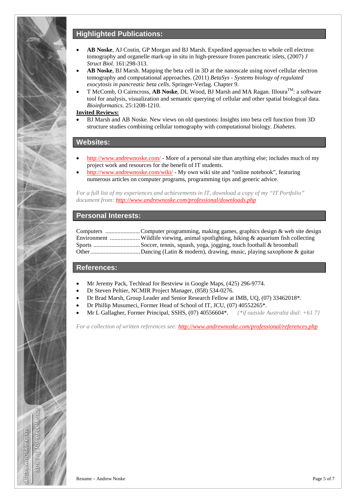## **Highlighted Publications:**

- **AB Noske**, AJ Costin, GP Morgan and BJ Marsh. Expedited approaches to whole cell electron tomography and organelle mark-up in situ in high-pressure frozen pancreatic islets, (2007) *J Struct Biol.* 161:298-313.
- **AB Noske**, BJ Marsh. Mapping the beta cell in 3D at the nanoscale using novel cellular electron tomography and computational approaches. (2011) *BetaSys - Systems biology of regulated exocytosis in pancreatic beta cells*. Springer-Verlag. Chapter 9.
- T McComb, O Cairncross, **AB Noske**, DL Wood, BJ Marsh and MA Ragan. Illoura<sup>TM</sup>: a software tool for analysis, visualization and semantic querying of cellular and other spatial biological data. *Bioinformatics.* 25:1208-1210.

#### **Invited Reviews:**

• BJ Marsh and AB Noske. New views on old questions: Insights into beta cell function from 3D structure studies combining cellular tomography with computational biology. *Diabetes*.

### **Websites:**

- <http://www.andrewnoske.com/> More of a personal site than anything else; includes much of my project work and resources for the benefit of IT students.
- <http://www.andrewnoske.com/wiki/> My own wiki site and "online notebook", featuring numerous articles on computer programs, programming tips and generic advice.

*For a full list of my experiences and achievements in IT, download a copy of my "IT Portfolio" document from[: http://www.andrewnoske.com/professional/downloads.php](http://www.andrewnoske.com/professional/downloads.php)*

### **Personal Interests:**

Computers .......................Computer programming, making games, graphics design & web site design Environment ....................Wildlife viewing, animal spotlighting, hiking & aquarium fish collecting Sports ...............................Soccer, tennis, squash, yoga, jogging, touch football & broomball Other.................................Dancing (Latin & modern), drawing, music, playing saxophone & guitar

### **References:**

- Mr Jeremy Pack, Techlead for Bestview in Google Maps, (425) 296-9774.
- Dr Steven Peltier, NCMIR Project Manager, (858) 534-0276.
- Dr Brad Marsh, Group Leader and Senior Research Fellow at IMB, UQ, (07) 33462018\*.
- Dr Phillip Musumeci, Former Head of School of IT, JCU, (07) 40552265\*.
- Mr L Gallagher, Former Principal, SSHS, (07) 40556604\*. *{\*if outside Australia dial: +61 7}*

*For a collection of written references see:<http://www.andrewnoske.com/professional/references.php>*

lleoxe lo

Striving

andrewnoske.com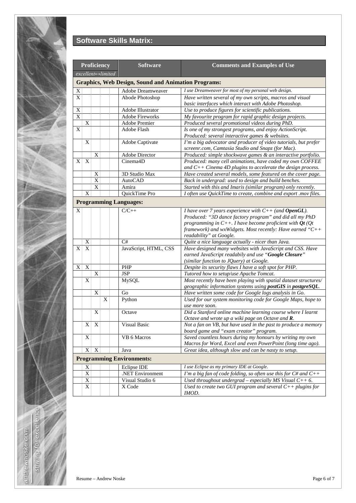

# **Software Skills Matrix:**

|                   |                |                           | Proficiency | <b>Software</b>                                            | <b>Comments and Examples of Use</b>                                                                                |
|-------------------|----------------|---------------------------|-------------|------------------------------------------------------------|--------------------------------------------------------------------------------------------------------------------|
| excellent⇔limited |                |                           |             |                                                            |                                                                                                                    |
|                   |                |                           |             | <b>Graphics, Web Design, Sound and Animation Programs:</b> |                                                                                                                    |
| $\mathbf X$       |                |                           |             | Adobe Dreamweaver                                          | I use Dreamweaver for most of my personal web design.                                                              |
| X                 |                |                           |             | Abode Photoshop                                            | Have written several of my own scripts, macros and visual                                                          |
|                   |                |                           |             |                                                            | basic interfaces which interact with Adobe Photoshop.                                                              |
| X                 |                |                           |             | Adobe Illustrator                                          | Use to produce figures for scientific publications.                                                                |
| X                 |                |                           |             | <b>Adobe Fireworks</b>                                     | My favourite program for rapid graphic design projects.                                                            |
|                   | Χ              |                           |             | Adobe Premier                                              | Produced several promotional videos during PhD.                                                                    |
| X                 |                |                           |             | Adobe Flash                                                | Is one of my strongest programs, and enjoy ActionScript.                                                           |
|                   |                |                           |             |                                                            | Produced: several interactive games & websites.                                                                    |
|                   | X              |                           |             | Adobe Captivate                                            | I'm a big advocator and producer of video tutorials, but prefer                                                    |
|                   |                |                           |             |                                                            | screenr.com, Camtasia Studio and Snapz (for Mac).                                                                  |
|                   |                | X                         |             | Adobe Director                                             | Produced: simple shockwave games & an interactive portfolio.                                                       |
| X                 | X              |                           |             | Cinema4D                                                   | Produced: many cell animations, have coded my own COFFEE                                                           |
|                   |                |                           |             |                                                            | and $C++$ Cinema 4D plugins to accelerate the design process.                                                      |
|                   |                | Χ                         |             | 3D Studio Max                                              | Have created several models, some featured on the cover page.                                                      |
|                   |                | X                         |             | <b>AutoCAD</b>                                             | Back in undergrad: used to design and build benches.                                                               |
|                   |                | $\overline{X}$            |             | Amira                                                      | Started with this and Imaris (similar program) only recently.                                                      |
|                   | X              |                           |             | QuickTime Pro                                              | I often use QuickTime to create, combine and export .mov files.                                                    |
|                   |                |                           |             | <b>Programming Languages:</b>                              |                                                                                                                    |
| X                 |                |                           |             | $C/C++$                                                    | <i>I</i> have over 7 years experience with $C++$ (and <b>OpenGL</b> ).                                             |
|                   |                |                           |             |                                                            | Produced: "3D dance factory program" and did all my PhD                                                            |
|                   |                |                           |             |                                                            | programming in $C_{++}$ . I have become proficient with $\mathbf{Q}t$ ( $\mathbf{Q}t$                              |
|                   |                |                           |             |                                                            | framework) and wxWidgets. Most recently: Have earned " $C++$                                                       |
|                   |                |                           |             |                                                            | readability" at Google.                                                                                            |
|                   | X              |                           |             | C#                                                         | Quite a nice language actually - nicer than Java.                                                                  |
| X                 | X              |                           |             | JavaScript, HTML, CSS                                      | Have designed many websites with JavaScript and CSS. Have                                                          |
|                   |                |                           |             |                                                            | earned JavaScript readabily and use "Google Closure"                                                               |
|                   |                |                           |             |                                                            | (similar function to JQuery) at Google.                                                                            |
| X                 | X              |                           |             | PHP                                                        | Despite its security flaws I have a soft spot for PHP.                                                             |
|                   |                | X                         |             | <b>JSP</b>                                                 | Tutored how to setup/use Apache Tomcat.                                                                            |
|                   | X              |                           |             | MySQL                                                      | Most recently have been playing with spatial dataset structures/                                                   |
|                   |                |                           |             |                                                            | geographic information systems using postGIS in postgreSQL.                                                        |
|                   |                | X                         |             | Go                                                         | Have written some code for Google logs analysis in Go.                                                             |
|                   |                |                           | X           | Python                                                     | Used for our system monitoring code for Google Maps, hope to                                                       |
|                   |                |                           |             |                                                            | use more soon.                                                                                                     |
|                   |                | X                         |             | Octave                                                     | Did a Stanford online machine learning course where I learnt                                                       |
|                   | X <sub>1</sub> | $\boldsymbol{\mathrm{X}}$ |             | Visual Basic                                               | Octave and wrote up a wiki page on Octave and R.<br>Not a fan on VB, but have used in the past to produce a memory |
|                   |                |                           |             |                                                            | board game and "exam creator" program.                                                                             |
|                   | X              |                           |             | VB 6 Macros                                                | Saved countless hours during my honours by writing my own                                                          |
|                   |                |                           |             |                                                            | Macros for Word, Excel and even PowerPoint (long time ago).                                                        |
|                   | X              | X                         |             | Java                                                       | Great idea, although slow and can be nasty to setup.                                                               |
|                   |                |                           |             | <b>Programming Environments:</b>                           |                                                                                                                    |
|                   | X              |                           |             | Eclipse IDE                                                | I use Eclipse as my primary IDE at Google.                                                                         |
|                   | $\mathbf X$    |                           |             | .NET Environment                                           | I'm a big fan of code folding, so often use this for $C#$ and $C++$                                                |
|                   | X              |                           |             | Visual Studio 6                                            | Used throughout undergrad – especially MS Visual $C++6$ .                                                          |
|                   | X              |                           |             | X Code                                                     | Used to create two GUI program and several $C_{++}$ plugins for                                                    |
|                   |                |                           |             |                                                            | IMOD.                                                                                                              |